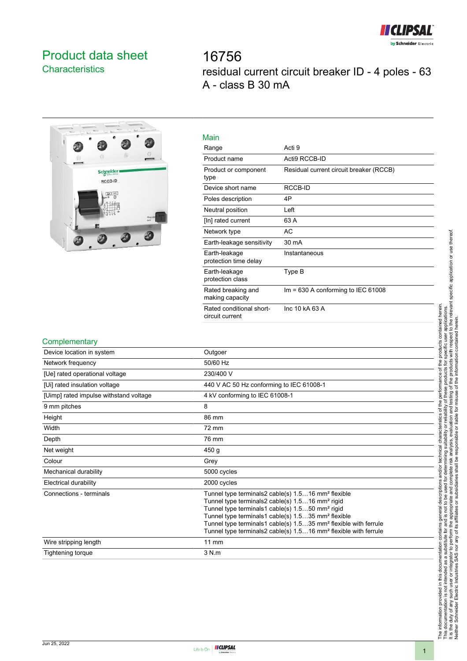

# <span id="page-0-0"></span>Product data sheet **Characteristics**

16756 residual current circuit breaker ID - 4 poles - 63 A - class B 30 mA



| Main                                        |                                         |
|---------------------------------------------|-----------------------------------------|
| Range                                       | Acti 9                                  |
| Product name                                | Acti9 RCCB-ID                           |
| Product or component<br>type                | Residual current circuit breaker (RCCB) |
| Device short name                           | RCCB-ID                                 |
| Poles description                           | 4P                                      |
| Neutral position                            | Left                                    |
| [In] rated current                          | 63 A                                    |
| Network type                                | AC                                      |
| Earth-leakage sensitivity                   | 30 mA                                   |
| Earth-leakage<br>protection time delay      | Instantaneous                           |
| Earth-leakage<br>protection class           | Type B                                  |
| Rated breaking and<br>making capacity       | Im = $630$ A conforming to IEC $61008$  |
| Rated conditional short-<br>circuit current | Inc 10 kA 63 A                          |
|                                             |                                         |

### **Complementary**

| Device location in system              | Outgoer                                                                                                                                                                                                                                                                                                                                                                                                                      |
|----------------------------------------|------------------------------------------------------------------------------------------------------------------------------------------------------------------------------------------------------------------------------------------------------------------------------------------------------------------------------------------------------------------------------------------------------------------------------|
| Network frequency                      | 50/60 Hz                                                                                                                                                                                                                                                                                                                                                                                                                     |
| [Ue] rated operational voltage         | 230/400 V                                                                                                                                                                                                                                                                                                                                                                                                                    |
| [Ui] rated insulation voltage          | 440 V AC 50 Hz conforming to IEC 61008-1                                                                                                                                                                                                                                                                                                                                                                                     |
| [Uimp] rated impulse withstand voltage | 4 kV conforming to IEC 61008-1                                                                                                                                                                                                                                                                                                                                                                                               |
| 9 mm pitches                           | 8                                                                                                                                                                                                                                                                                                                                                                                                                            |
| Height                                 | 86 mm                                                                                                                                                                                                                                                                                                                                                                                                                        |
| Width                                  | 72 mm                                                                                                                                                                                                                                                                                                                                                                                                                        |
| Depth                                  | 76 mm                                                                                                                                                                                                                                                                                                                                                                                                                        |
| Net weight                             | 450 <sub>g</sub>                                                                                                                                                                                                                                                                                                                                                                                                             |
| Colour                                 | Grey                                                                                                                                                                                                                                                                                                                                                                                                                         |
| Mechanical durability                  | 5000 cycles                                                                                                                                                                                                                                                                                                                                                                                                                  |
| <b>Electrical durability</b>           | 2000 cycles                                                                                                                                                                                                                                                                                                                                                                                                                  |
| Connections - terminals                | Tunnel type terminals2 cable(s) 1.516 mm <sup>2</sup> flexible<br>Tunnel type terminals2 cable(s) 1.516 mm <sup>2</sup> rigid<br>Tunnel type terminals1 cable(s) 1.550 mm <sup>2</sup> rigid<br>Tunnel type terminals1 cable(s) 1.535 mm <sup>2</sup> flexible<br>Tunnel type terminals1 cable(s) 1.535 mm <sup>2</sup> flexible with ferrule<br>Tunnel type terminals2 cable(s) 1.516 mm <sup>2</sup> flexible with ferrule |
| Wire stripping length                  | 11 mm                                                                                                                                                                                                                                                                                                                                                                                                                        |
| Tightening torque                      | 3 N.m                                                                                                                                                                                                                                                                                                                                                                                                                        |